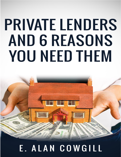# **PRIVATE LENDERS AND 6 REASONS YOU NEED THEM**

# E. ALAN COWGILL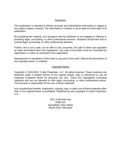#### Disclaimer

This publication is intended to deliver accurate and authoritative information in regard to the subject matters covered. The information it contains is up-to-date as of the date of its publication.

By accepting this material, you recognize that the publisher is not engaged in offering or providing legal, accounting, or other professional services. Students should feel free to consult legal, accounting, or other professional advisers.

Further, this is not a sale, nor an offer to sell, securities, the sale of which are regulated by state and federal laws and regulations. Any sale of securities must be conducted by registration or under an exemption from registration.

Reproduction or translation of this work or any part of this work, without the permission of the copyright owner, is unlawful.

#### Copyright Notice

Copyright © 2018-2021, Colby Properties, LLC. All rights reserved. These materials are delivered under a limited license to the original lessee, who is authorized to use all materials contained herein for personal use only. These are copyrighted consulting materials and are not intended to offer legal, accounting, or other professional advice. The licensee is responsible for the use of these materials.

Any unauthorized transfer, duplication, copying, sale, or other use of these materials other than to the original lessee is prohibited. Published by and copyright of Colby Properties, LLC.

> 2071 N Bechtle Ave PMB 310 Springfield, Ohio 45504 Phone (937) 390-0816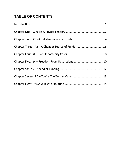## **TABLE OF CONTENTS**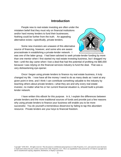#### **Introduction**

<span id="page-3-0"></span>People new to real estate investing are often under the mistaken belief that they must rely on financial institutions and/or hard money lenders to fund their businesses. Nothing could be further from the truth. An appealing alternative exists—specifically, private lenders.

Some new investors are unaware of this alternative source of financing, however, and some who are aware procrastinate in establishing a private-lender network. I



was one of the latter group. I had been advised to seek private-lender funding by more than one mentor when I first started my real estate investing business, but I dragged my feet—until the day came when I lost a deal that had the potential of profiting me \$80,000 because I was relying on the financial services industry to fund the deal. That was a very disheartening eye-opener.

Once I began using private lenders to finance my real estate business, it truly changed my life. I now have all the money I need to do as many deals as I want at any given point in time, and I think I can contribute something valuable to the industry by teaching others about private lenders—what they are and why every real estate investor, no matter what his or her current financial situation is, should build a privatelender network.

I have written this eBook for this purpose. In it, I explain the differences between private lenders and the more traditional sources of funds and provide just a few reasons why using private lenders to finance your business will enable you to be more successful. You do yourself a tremendous disservice by failing to tap this abundant resource. Private lenders are your keys to financial freedom.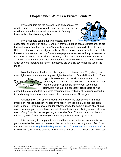#### **Chapter One: What Is A Private Lender?**

<span id="page-4-0"></span>Private lenders are the average Joes and Janes of the world. Some are retired while others are still members of the workforce; some have a substantial amount of money to invest while others have only a little.



Private lenders can be family members, friends,

associates, or other individuals. Generally, they are not business organizations, as are financial institutions. I use the term "financial institutions" to refer collectively to banks, S&L's, credit unions, and mortgage brokers. These businesses specify the terms of the loan—the interest rate, the time frame, the repayment schedule, and any requirements that must be met for the duration of the loan, such as a maximum debt-to-income ratio. They charge loan origination fees and other fees that they refer to as "points," both of which serve to increase the rate of interest you are actually paying for the use of the money.

Most hard money lenders are also organized as businesses. They charge an even higher rate of interest and impose higher fees than do financial institutions. They



typically base their loan decisions on how much the property will be worth in the event of foreclosure—in other words, their profit potential in the event you default. Borrowers who lack the necessary credit score or who

exceed the maximum debt-to-income requirement set by financial institutions often turn to hard money lenders as a last resort. Hard money lenders fill the gap.

Unfortunately, a lot of real estate investors who find themselves in financial straits don't realize that it isn't necessary to resort to these slightly-better-than-loanshark lenders. Having a private-lender network serves the same purpose at a lot less cost. However, you have to have one established beforehand. Doing so can help you ward off any financial disaster you might otherwise face. You can't wait until the last minute if you don't want to have your potential profits devoured by the sharks.

It is necessary to comply with state and federal securities laws when building your private-lender network. I cover all the basics in one of the programs I offer. You can learn more at [www.privatelendingmadeeasy.com/private-lending-basic-system/.](http://www.privatelendingmadeeasy.com/private-lending-basic-system/) It is well worth your while to become familiar with these laws. The benefits are numerous.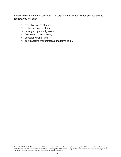I expound on 6 of them in Chapters 2 through 7 of this eBook. When you use private lenders, you will enjoy:

- 1. a reliable source of funds;
- 2. a cheaper source of funds;
- 3. having no opportunity costs;
- 4. freedom from restrictions;
- 5. speedier funding; and
- 6. being a terms-maker instead of a terms-taker.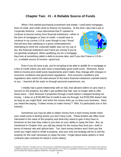#### **Chapter Two: #1 - A Reliable Source of Funds**

<span id="page-6-0"></span>When I first started purchasing investment real estate, I used bank mortgages, lines of credit, and credit cards to finance my business. At the time I also had a job in

Corporate America. I soon discovered that if I wanted to continue to borrow money from financial institutions—either in the form of mortgages or lines of credit—I would have to continue in my current J-O-B, even though to say I found that job less than satisfying is a gross understatement. Attempting to climb the corporate ladder was not my cup of tea. But financial institutions won't lend you money if you're not gainfully employed. When qualifying you for a mortgage,



they look at something called a debt-to-income ratio, and if you don't have a J-O-B i.e., a reliable source of income—good luck.

Even if you do have a job, you're not going to be able to qualify for a mortgage or a line of credit unless you also have a reasonably good credit score. Moreover, these debt-to-income and credit score requirements aren't static; they change with changes in economic conditions and government regulations. And economic conditions and regulations also restrict the total amount of the loans financial institutions can/will extend to you. I learned all this early on through personal experiences, too.

I initially had a good relationship with an S&L that allowed sellers to carry back a second on the property, but after it got audited that S&L was no longer able to offer these loans. I then financed 4 properties through a bank before it stopped lending me money. I drew on a \$100,000 line of credit to see me through, but \$100,000 doesn't last as long as you might think, and when the money dries up, so does your business. Have you heard the saying, "It takes money to make money"? Well, it's particularly true in this industry.

Sometimes you may be able to obtain money from a hard money lender when your credit score is lacking and/or you don't have a job. These lenders are often more interested in the value of the property and what they stand to gain if they have to foreclose on the loan they make to you than on your ability to repay the loan. But, as mentioned in Chapter One, you will pay dearly for the money they lend you—both in terms of interest rate and upfront fees. Too, hard money lenders won't front you the funds you might need to rehab a property, and your only exit strategy will be to sell the property for the cash necessary to repay the loan. Forget about lease-options or land contracts (aka contracts-for-deed in some states).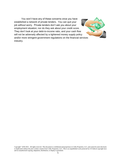You won't have any of these concerns once you have established a network of private lenders. You can quit your job without worry. Private lenders don't ask you about your employment situation; nor do they ask about your credit score. They don't look at your debt-to-income ratio, and your cash flow will not be adversely affected by a tightened money supply policy and/or more stringent government regulations on the financial services industry.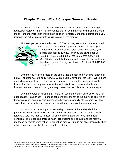#### <span id="page-8-0"></span>**Chapter Three: #2 – A Cheaper Source of Funds**

In addition to being a more reliable source of funds, private lender funding is also a cheaper source of funds. As I mentioned earlier, both financial institutions and hard money lenders charge upfront points in addition to interest, and these points effectively increase the actual interest rate you're paying on the money.

For example, assume you borrow \$20,000 for one year from a bank at a stated interest rate of 10% and must pay upfront fees of 4%, or \$800.



The fees you must pay at the outset effectively reduce your usable proceeds to \$19,200, and you are paying not just \$2,000 (=  $10\%$  x \$20,000) for the use of that money, but \$2,800 when you take the points into account. This jacks up the interest rate you're paying. It's not 10%; it's 2,800/\$19,200  $= 14.6\%$ !

And there are closing costs on top of this that are specified in dollars rather than points—another way of disguising what you're actually paying for the loan. While there are still closing costs involved when you use private lenders, they are substantially lower. And there are no points associated with private loans—just a clearly stated interest rate, and one that you, by the way, determine, as I discuss in a later chapter.

Another source of funding that I have not yet mentioned in this eBook—and for good reason--is a partner. He or she can contribute money to the business from his or her own savings and may also increase the borrowing capacity of the company. This said, I have personally found partners to be a fairly expensive financing source.

I was involved in a couple of partnerships. In one of them, I handled the paperwork and financing while my partner was responsible for the rehabbing. Fast forward a year: We had 18 houses, all of them mortgaged, but none in rentable condition. The rehabbing process wasn't progressing as it should, and the monthly mortgage payments were eating up our rehab money. I made out okay financially when all was said and done, but I lost a friend in that deal.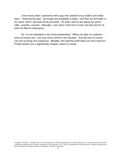I lost money when I partnered with a guy who wanted to buy trailers and rehab them. I financed the deal. He bought and rehabbed a trailer—and then put the trailer in his name, sold it, and kept all the proceeds. Oh yeah, and he quit taking my phone calls—surprise, surprise. Naturally, I won when I took him to court, but that was for nil when he filed for bankruptcy.

So, I'm not interested in any more partnerships. When you take on a partner even an honest one—you lose some control of the situation. And that loss of control can end up being very expensive. Besides, why split the profit when you don't have to? Private lenders are a significantly cheaper means to money.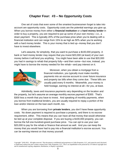#### **Chapter Four: #3 – No Opportunity Costs**

<span id="page-10-0"></span>One set of costs that even some of the smartest businessmen forget to take into account are opportunity costs. Opportunity costs are the potential earnings you give up. When you borrow money from either a **financial institution** or a **hard money lender** in order to buy a property, you are required to put up some of your own money—i.e., a down payment. This is typically 20% of the purchase price when you're dealing with a financial institution and can range from 15% to as high as 50% when you're working with a hard money lender. This is your money that is tied up--money that you don't have to invest elsewhere.

Let's assume, for simplicity, that you want to purchase a \$100,000 property. A bank or hard money lender may require that you invest \$20,000 (at least) of your own money before it will lend you anything. You might have been able to use that \$20,000 you had in savings to rehab that property fully—and then some—but now, instead, you might have to borrow the money needed for the rehab—and pay interest on it.



Moreover, when you obtain a mortgage from a financial institution, you typically must make monthly payments into an escrow account to cover future insurance and property tax bills when they come due. These bills are usually paid every 6 months. Meanwhile, your money is held hostage, earning no interest at all—for you, at least.

Admittedly, taxes and insurance payments vary depending on the location and the property, but let's assume an average monthly escrow payment of \$300. That's \$300 less a month that you have to invest. And speaking of monthly payments, when you borrow from traditional lenders, you are usually required to repay a portion of the loan and/or interest on the loan each month, too.

When you are borrowing from **private lenders**, you don't have these opportunity costs. No down payment is required to purchase a property, and there is no escrow requirement, either. This means that you can have all that money that would otherwise be tied up at your complete disposal. If you are buying a \$100,000 property, you can borrow the full one-hundred-grand purchase price. You can opt to use your own \$20,000 to pay for the rehab or finance that amount as well. And you can keep the money that you would have had to pay into a financial institution's escrow account. You can be earning interest on that money yourself.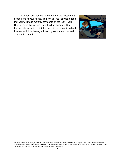Furthermore, you can structure the loan repayment schedule to fit your needs. You can tell your private lenders that you will make monthly payments on the loan if you like—or even that no repayment will be made until the house sells, at which point the loan will be repaid in full with interest, which is the way a lot of my loans are structured. You are in control.

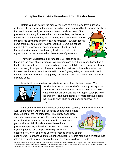### **Chapter Five: #4 – Freedom From Restrictions**

<span id="page-12-0"></span>Before you can borrow the money you need to buy a house from a financial institution, the property under consideration has to be approved by the powers that be at

that institution as worthy of being purchased. And the value of the property is of primary interest to hard money lenders, too, because they want to know what they will be getting if you are unable to make the requisite payments and they have to foreclose. But, let's face it, some of us buy some pretty nasty properties. Some the houses might not have windows or doors or roofs or plumbing, and financial institutions and hard money lenders are unlikely to agree to lend us the money to buy these types of properties.



They don't understand that, for a lot of us, properties like these are the heart of our business. We buy trash and turn it into cash. I once had a bank that refused to lend me money to buy a house that didn't have a furnace. It was an insult to my intelligence. I knew far better than that bank's loan officer what that house would be worth after I rehabbed it. I wasn't going to buy a house and spend money renovating it without being pretty sure I could earn a nice profit on it after all was said and done.

Now that I have a network of private lenders, I buy whatever I want. The



decision is mine and no one else's. I am my own approval committee. And because I can accurately estimate both what the rehab will cost and the after-repair value (ARV) of the property, I can put together a lot more profitable deals than I could when I had to get a bank's approval on a property.

I'm also not limited in the number of properties I can buy. Financial institutions want you to remain within their specified debt-to-income ratio

requirement for the life of the loan. That pretty much limits your borrowing capacity. And they sometimes impose other restrictions that can affect the way in which you operate your business. Additionally, there will often be a prepayment penalty written into the loan documents. So if you happen to sell a property more quickly than



debt--thereby improving your aforementioned debt-to-income ratio and eliminating that interest payment—unless you pay them some money to allow you to do so.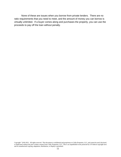None of these are issues when you borrow from private lenders. There are no ratio requirements that you need to meet, and the amount of money you can borrow is virtually unlimited. If a buyer comes along and purchases the property, you can use the proceeds to pay off the loan without penalty.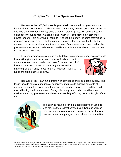#### **Chapter Six: #5 – Speedier Funding**

<span id="page-14-0"></span>Remember that \$80,000 potential-profit deal I mentioned losing out on in the introduction to this eBook? I had come across a property that had gone into foreclosure and was being sold for \$70,000; it had a market value of \$150,000. Unfortunately, I didn't have the funds readily available, and I hadn't yet established my network of private lenders. I did everything I could to try to get the money, including attempting to increase my lines of credit. The loan approval process took so long that by the time I obtained the necessary financing, it was too late. Someone else had snatched up the property—someone who had the cash readily available and was able to close the deal in a matter of a few days.

I experienced inconvenient and costly delays on numerous other occasions while

I was still relying on financial institutions for funding. It took me 4½ months to close on one house. I was fortunate that I didn't lose that deal, too. Now that I am using private-lending financing, all the money I need is at my fingertips—literally. The funds are just a phone call away.



Because of this, I can make offers with confidence and close deals quickly. I no longer have to complete mounds of paperwork and provide massive amounts of documentation before my request for a loan will even be considered—and then wait around hoping it will be approved. Being able to pay cash and close within days enables me to buy properties at a discount, essentially affording me a profit right off the bat.



The ability to move quickly on a good deal when you find one may be the greatest competitive advantage you can have as a real estate investor. Having an army of private lenders behind you puts you a step above the competition.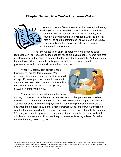#### **Chapter Seven: #6 – You're The Terms-Maker**

<span id="page-15-0"></span>

When you borrow from a financial institution or a hard money lender, you are a *terms-taker***.** These entities tell you how much they will lend you and for what length of time, how much of a down payment you will need, what the interest rate will be and the upfront fees you will be obliged to pay. They also dictate the repayment schedule, typically requiring monthly payments.

As I mentioned in an earlier chapter, they often impose other restrictions on you, too, such as the need for you to maintain a debt-to-income ratio that is below a specified number—a number that they unilaterally establish. And more often than not, you will be required to make payments into an escrow account to cover property taxes and insurance bills when they come due.

When you borrow from private lenders, however, you are the *terms-maker*. You determine the minimum loan amount that you will accept. For example, I don't accept investment amounts less than \$5,000. But you can establish your own minimum amount--\$1,000, \$5,000, \$10,000. It's totally up to you.



You also set the interest rate on the loan—

although it does, of course, have to be competitive with what your lenders could earn elsewhere on their money. And you are the one who dictates the repayment schedule. You can decide to make monthly payments or make a single balloon payment at the end when the property sells. I offer a higher interest rate to lenders who are willing to wait for the house to sell before receiving any money. But I don't offer a higher rate on 2<sup>nd</sup> mortgages, nor do I pay more on larger investment amounts. In other words, if I stipulate an interest rate of 10%, then I pay my investors 10%, regardless of whether they lend me \$5,000 or \$20,000.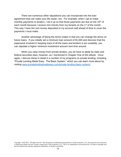There are numerous other stipulations you can incorporate into the loan agreement that can make your life easier, too. For example, when I opt to make monthly payments to lenders, I set it up so that those payments are due on the  $15<sup>th</sup>$  of each month because I receive rent checks from my tenants on the 1<sup>st</sup> of the month. This way I have the rent money deposited in my account well ahead of time to cover the payments I must make.

Another advantage of being the terms-maker is that you can change the terms on future loans. If you initially set a minimum loan amount of \$1,000 and discover that the paperwork involved in keeping track of all the loans and lenders is too unwieldy, you can stipulate a higher minimum investment amount next time around.

When you raise money from private lenders, you do have to abide by state and federal securities laws, however, as I mentioned in Chapter One of this eBook. Once again, I discuss these in detail in a number of my programs on private lending, including "Private Lending Made Easy: The Basic System," which you can learn more about by visiting [www.privatelendingmadeeasy.com/private-lending-basic-system/.](http://www.privatelendingmadeeasy.com/private-lending-basic-system/)